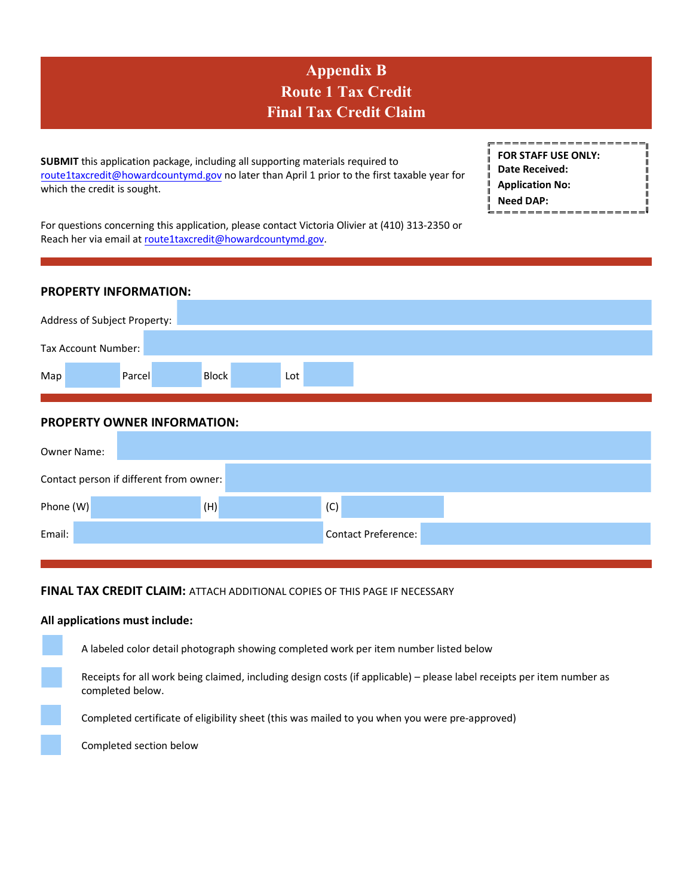# **Appendix B Route 1 Tax Credit Final Tax Credit Claim**

**SUBMIT** this application package, including all supporting materials required to [route1taxcredit@howardcountym](mailto:Volivier@howardcountymd.gov)d.gov no later than April 1 prior to the first taxable year for which the credit is sought.

| <b>FOR STAFF USE ONLY:</b> |  |
|----------------------------|--|
| Date Received:             |  |
| <b>Application No:</b>     |  |
| <b>Need DAP:</b>           |  |
|                            |  |

For questions concerning this application, please contact Victoria Olivier at (410) 313‐2350 or Reach her via email at [route1taxcredit@howardcountymd.gov](mailto:volivier@howardcountymd.gov).

## **PROPERTY INFORMATION:**

| Address of Subject Property: |  |        |              |     |  |  |  |  |  |  |  |
|------------------------------|--|--------|--------------|-----|--|--|--|--|--|--|--|
| Tax Account Number:          |  |        |              |     |  |  |  |  |  |  |  |
| Map                          |  | Parcel | <b>Block</b> | Lot |  |  |  |  |  |  |  |

## **PROPERTY OWNER INFORMATION:**

| <b>Owner Name:</b> |                                         |                            |  |
|--------------------|-----------------------------------------|----------------------------|--|
|                    | Contact person if different from owner: |                            |  |
| Phone (W)          | (H)                                     | (C)                        |  |
| Email:             |                                         | <b>Contact Preference:</b> |  |

## **FINAL TAX CREDIT CLAIM:** ATTACH ADDITIONAL COPIES OF THIS PAGE IF NECESSARY

#### **All applications must include:**

A labeled color detail photograph showing completed work per item number listed below Receipts for all work being claimed, including design costs (if applicable) – please label receipts per item number as completed below.

Completed certificate of eligibility sheet (this was mailed to you when you were pre-approved)

Completed section below